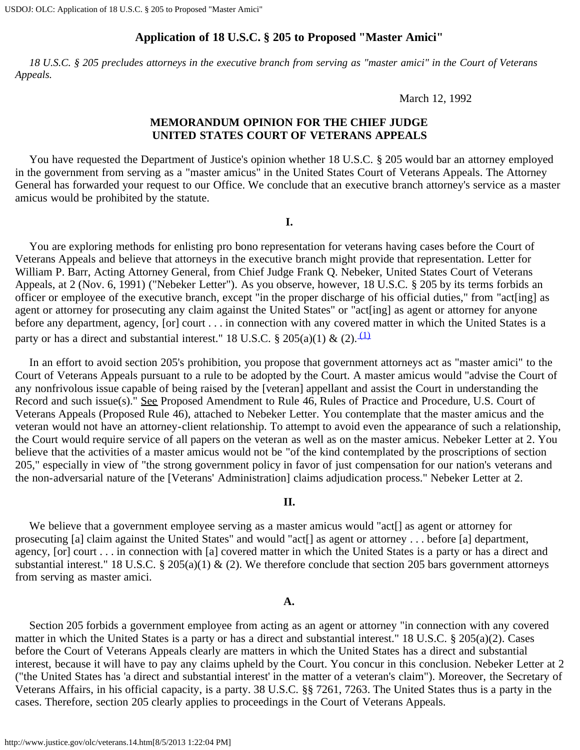## **Application of 18 U.S.C. § 205 to Proposed "Master Amici"**

<span id="page-0-0"></span> *18 U.S.C. § 205 precludes attorneys in the executive branch from serving as "master amici" in the Court of Veterans Appeals.*

March 12, 1992

## **MEMORANDUM OPINION FOR THE CHIEF JUDGE UNITED STATES COURT OF VETERANS APPEALS**

 You have requested the Department of Justice's opinion whether 18 U.S.C. § 205 would bar an attorney employed in the government from serving as a "master amicus" in the United States Court of Veterans Appeals. The Attorney General has forwarded your request to our Office. We conclude that an executive branch attorney's service as a master amicus would be prohibited by the statute.

**I.**

 You are exploring methods for enlisting pro bono representation for veterans having cases before the Court of Veterans Appeals and believe that attorneys in the executive branch might provide that representation. Letter for William P. Barr, Acting Attorney General, from Chief Judge Frank Q. Nebeker, United States Court of Veterans Appeals, at 2 (Nov. 6, 1991) ("Nebeker Letter"). As you observe, however, 18 U.S.C. § 205 by its terms forbids an officer or employee of the executive branch, except "in the proper discharge of his official duties," from "act[ing] as agent or attorney for prosecuting any claim against the United States" or "act[ing] as agent or attorney for anyone before any department, agency, [or] court . . . in connection with any covered matter in which the United States is a party or has a direct and substantial interest." 18 U.S.C. § 205(a)(1) & (2).  $\frac{(1)}{(1)}$ 

 In an effort to avoid section 205's prohibition, you propose that government attorneys act as "master amici" to the Court of Veterans Appeals pursuant to a rule to be adopted by the Court. A master amicus would "advise the Court of any nonfrivolous issue capable of being raised by the [veteran] appellant and assist the Court in understanding the Record and such issue(s)." See Proposed Amendment to Rule 46, Rules of Practice and Procedure, U.S. Court of Veterans Appeals (Proposed Rule 46), attached to Nebeker Letter. You contemplate that the master amicus and the veteran would not have an attorney-client relationship. To attempt to avoid even the appearance of such a relationship, the Court would require service of all papers on the veteran as well as on the master amicus. Nebeker Letter at 2. You believe that the activities of a master amicus would not be "of the kind contemplated by the proscriptions of section 205," especially in view of "the strong government policy in favor of just compensation for our nation's veterans and the non-adversarial nature of the [Veterans' Administration] claims adjudication process." Nebeker Letter at 2.

## **II.**

We believe that a government employee serving as a master amicus would "act<sup>[]</sup> as agent or attorney for prosecuting [a] claim against the United States" and would "act[] as agent or attorney . . . before [a] department, agency, [or] court . . . in connection with [a] covered matter in which the United States is a party or has a direct and substantial interest." 18 U.S.C. § 205(a)(1) & (2). We therefore conclude that section 205 bars government attorneys from serving as master amici.

#### **A.**

 Section 205 forbids a government employee from acting as an agent or attorney "in connection with any covered matter in which the United States is a party or has a direct and substantial interest." 18 U.S.C. § 205(a)(2). Cases before the Court of Veterans Appeals clearly are matters in which the United States has a direct and substantial interest, because it will have to pay any claims upheld by the Court. You concur in this conclusion. Nebeker Letter at 2 ("the United States has 'a direct and substantial interest' in the matter of a veteran's claim"). Moreover, the Secretary of Veterans Affairs, in his official capacity, is a party. 38 U.S.C. §§ 7261, 7263. The United States thus is a party in the cases. Therefore, section 205 clearly applies to proceedings in the Court of Veterans Appeals.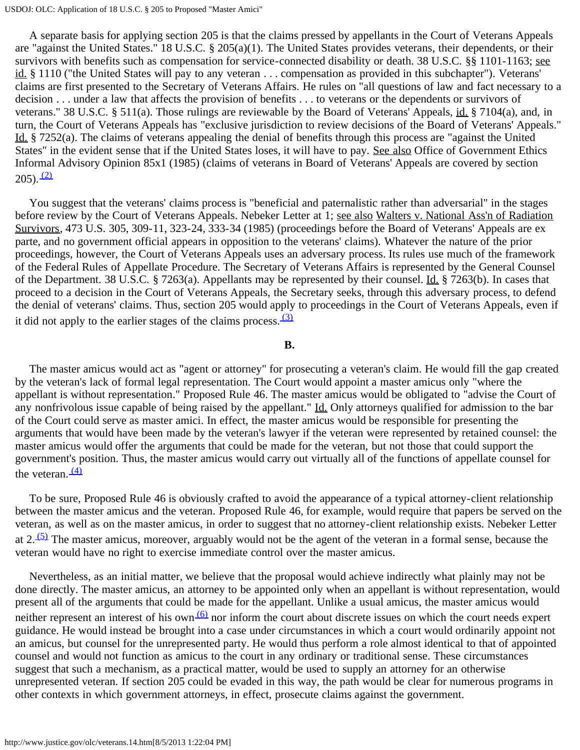A separate basis for applying section 205 is that the claims pressed by appellants in the Court of Veterans Appeals are "against the United States." 18 U.S.C.  $\S$  205(a)(1). The United States provides veterans, their dependents, or their survivors with benefits such as compensation for service-connected disability or death. 38 U.S.C. §§ 1101-1163; see id. § 1110 ("the United States will pay to any veteran . . . compensation as provided in this subchapter"). Veterans' claims are first presented to the Secretary of Veterans Affairs. He rules on "all questions of law and fact necessary to a decision . . . under a law that affects the provision of benefits . . . to veterans or the dependents or survivors of veterans." 38 U.S.C. § 511(a). Those rulings are reviewable by the Board of Veterans' Appeals, id. § 7104(a), and, in turn, the Court of Veterans Appeals has "exclusive jurisdiction to review decisions of the Board of Veterans' Appeals." Id. § 7252(a). The claims of veterans appealing the denial of benefits through this process are "against the United States" in the evident sense that if the United States loses, it will have to pay. See also Office of Government Ethics Informal Advisory Opinion 85x1 (1985) (claims of veterans in Board of Veterans' Appeals are covered by section  $(205)$ .  $(2)$ 

 You suggest that the veterans' claims process is "beneficial and paternalistic rather than adversarial" in the stages before review by the Court of Veterans Appeals. Nebeker Letter at 1; see also Walters v. National Ass'n of Radiation Survivors, 473 U.S. 305, 309-11, 323-24, 333-34 (1985) (proceedings before the Board of Veterans' Appeals are ex parte, and no government official appears in opposition to the veterans' claims). Whatever the nature of the prior proceedings, however, the Court of Veterans Appeals uses an adversary process. Its rules use much of the framework of the Federal Rules of Appellate Procedure. The Secretary of Veterans Affairs is represented by the General Counsel of the Department. 38 U.S.C. § 7263(a). Appellants may be represented by their counsel. Id. § 7263(b). In cases that proceed to a decision in the Court of Veterans Appeals, the Secretary seeks, through this adversary process, to defend the denial of veterans' claims. Thus, section 205 would apply to proceedings in the Court of Veterans Appeals, even if it did not apply to the earlier stages of the claims process.  $(3)$ 

### **B.**

 The master amicus would act as "agent or attorney" for prosecuting a veteran's claim. He would fill the gap created by the veteran's lack of formal legal representation. The Court would appoint a master amicus only "where the appellant is without representation." Proposed Rule 46. The master amicus would be obligated to "advise the Court of any nonfrivolous issue capable of being raised by the appellant." Id. Only attorneys qualified for admission to the bar of the Court could serve as master amici. In effect, the master amicus would be responsible for presenting the arguments that would have been made by the veteran's lawyer if the veteran were represented by retained counsel: the master amicus would offer the arguments that could be made for the veteran, but not those that could support the government's position. Thus, the master amicus would carry out virtually all of the functions of appellate counsel for the veteran.  $(4)$ 

 To be sure, Proposed Rule 46 is obviously crafted to avoid the appearance of a typical attorney-client relationship between the master amicus and the veteran. Proposed Rule 46, for example, would require that papers be served on the veteran, as well as on the master amicus, in order to suggest that no attorney-client relationship exists. Nebeker Letter at 2. $\frac{(5)}{1}$  The master amicus, moreover, arguably would not be the agent of the veteran in a formal sense, because the veteran would have no right to exercise immediate control over the master amicus.

 Nevertheless, as an initial matter, we believe that the proposal would achieve indirectly what plainly may not be done directly. The master amicus, an attorney to be appointed only when an appellant is without representation, would present all of the arguments that could be made for the appellant. Unlike a usual amicus, the master amicus would neither represent an interest of his own  $\frac{(6)}{2}$  nor inform the court about discrete issues on which the court needs expert guidance. He would instead be brought into a case under circumstances in which a court would ordinarily appoint not an amicus, but counsel for the unrepresented party. He would thus perform a role almost identical to that of appointed counsel and would not function as amicus to the court in any ordinary or traditional sense. These circumstances suggest that such a mechanism, as a practical matter, would be used to supply an attorney for an otherwise unrepresented veteran. If section 205 could be evaded in this way, the path would be clear for numerous programs in other contexts in which government attorneys, in effect, prosecute claims against the government.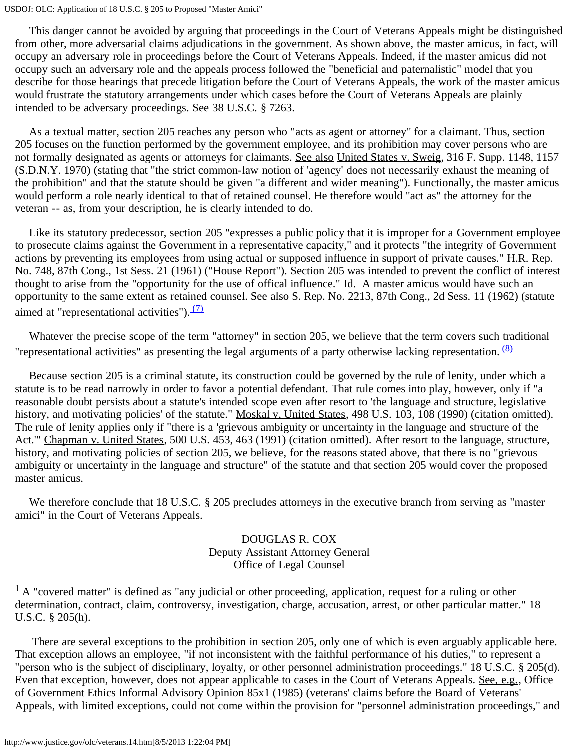#### USDOJ: OLC: Application of 18 U.S.C. § 205 to Proposed "Master Amici"

 This danger cannot be avoided by arguing that proceedings in the Court of Veterans Appeals might be distinguished from other, more adversarial claims adjudications in the government. As shown above, the master amicus, in fact, will occupy an adversary role in proceedings before the Court of Veterans Appeals. Indeed, if the master amicus did not occupy such an adversary role and the appeals process followed the "beneficial and paternalistic" model that you describe for those hearings that precede litigation before the Court of Veterans Appeals, the work of the master amicus would frustrate the statutory arrangements under which cases before the Court of Veterans Appeals are plainly intended to be adversary proceedings. See 38 U.S.C. § 7263.

 As a textual matter, section 205 reaches any person who "acts as agent or attorney" for a claimant. Thus, section 205 focuses on the function performed by the government employee, and its prohibition may cover persons who are not formally designated as agents or attorneys for claimants. See also United States v. Sweig, 316 F. Supp. 1148, 1157 (S.D.N.Y. 1970) (stating that "the strict common-law notion of 'agency' does not necessarily exhaust the meaning of the prohibition" and that the statute should be given "a different and wider meaning"). Functionally, the master amicus would perform a role nearly identical to that of retained counsel. He therefore would "act as" the attorney for the veteran -- as, from your description, he is clearly intended to do.

 Like its statutory predecessor, section 205 "expresses a public policy that it is improper for a Government employee to prosecute claims against the Government in a representative capacity," and it protects "the integrity of Government actions by preventing its employees from using actual or supposed influence in support of private causes." H.R. Rep. No. 748, 87th Cong., 1st Sess. 21 (1961) ("House Report"). Section 205 was intended to prevent the conflict of interest thought to arise from the "opportunity for the use of offical influence." Id. A master amicus would have such an opportunity to the same extent as retained counsel. See also S. Rep. No. 2213, 87th Cong., 2d Sess. 11 (1962) (statute aimed at "representational activities").  $(7)$ 

 Whatever the precise scope of the term "attorney" in section 205, we believe that the term covers such traditional "representational activities" as presenting the legal arguments of a party otherwise lacking representation. <sup>(8)</sup>

 Because section 205 is a criminal statute, its construction could be governed by the rule of lenity, under which a statute is to be read narrowly in order to favor a potential defendant. That rule comes into play, however, only if "a reasonable doubt persists about a statute's intended scope even after resort to 'the language and structure, legislative history, and motivating policies' of the statute." Moskal v. United States, 498 U.S. 103, 108 (1990) (citation omitted). The rule of lenity applies only if "there is a 'grievous ambiguity or uncertainty in the language and structure of the Act." Chapman v. United States, 500 U.S. 453, 463 (1991) (citation omitted). After resort to the language, structure, history, and motivating policies of section 205, we believe, for the reasons stated above, that there is no "grievous ambiguity or uncertainty in the language and structure" of the statute and that section 205 would cover the proposed master amicus.

We therefore conclude that 18 U.S.C. § 205 precludes attorneys in the executive branch from serving as "master amici" in the Court of Veterans Appeals.

# DOUGLAS R. COX Deputy Assistant Attorney General Office of Legal Counsel

 $<sup>1</sup>$  A "covered matter" is defined as "any judicial or other proceeding, application, request for a ruling or other</sup> determination, contract, claim, controversy, investigation, charge, accusation, arrest, or other particular matter." 18 U.S.C. § 205(h).

 There are several exceptions to the prohibition in section 205, only one of which is even arguably applicable here. That exception allows an employee, "if not inconsistent with the faithful performance of his duties," to represent a "person who is the subject of disciplinary, loyalty, or other personnel administration proceedings." 18 U.S.C. § 205(d). Even that exception, however, does not appear applicable to cases in the Court of Veterans Appeals. See, e.g., Office of Government Ethics Informal Advisory Opinion 85x1 (1985) (veterans' claims before the Board of Veterans' Appeals, with limited exceptions, could not come within the provision for "personnel administration proceedings," and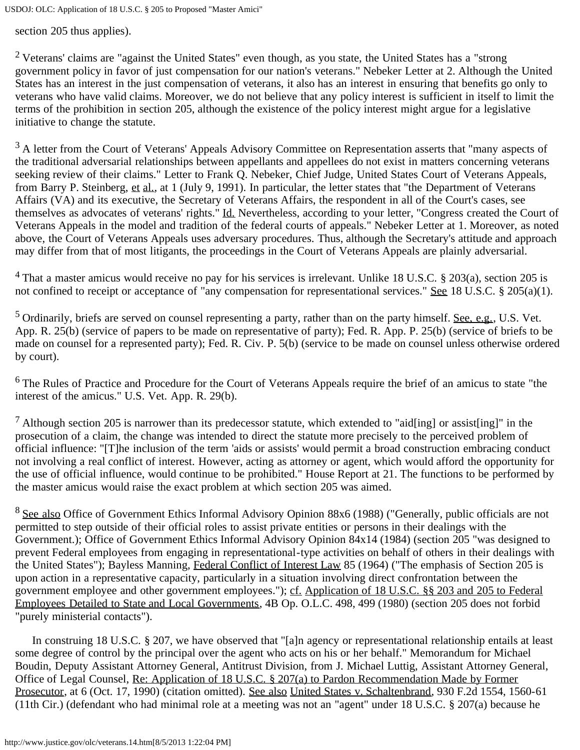USDOJ: OLC: Application of 18 U.S.C. § 205 to Proposed "Master Amici"

section 205 thus applies).

<sup>2</sup> Veterans' claims are "against the United States" even though, as you state, the United States has a "strong" government policy in favor of just compensation for our nation's veterans." Nebeker Letter at 2. Although the United States has an interest in the just compensation of veterans, it also has an interest in ensuring that benefits go only to veterans who have valid claims. Moreover, we do not believe that any policy interest is sufficient in itself to limit the terms of the prohibition in section 205, although the existence of the policy interest might argue for a legislative initiative to change the statute.

 $3$  A letter from the Court of Veterans' Appeals Advisory Committee on Representation asserts that "many aspects of the traditional adversarial relationships between appellants and appellees do not exist in matters concerning veterans seeking review of their claims." Letter to Frank Q. Nebeker, Chief Judge, United States Court of Veterans Appeals, from Barry P. Steinberg, et al., at 1 (July 9, 1991). In particular, the letter states that "the Department of Veterans Affairs (VA) and its executive, the Secretary of Veterans Affairs, the respondent in all of the Court's cases, see themselves as advocates of veterans' rights." Id. Nevertheless, according to your letter, "Congress created the Court of Veterans Appeals in the model and tradition of the federal courts of appeals." Nebeker Letter at 1. Moreover, as noted above, the Court of Veterans Appeals uses adversary procedures. Thus, although the Secretary's attitude and approach may differ from that of most litigants, the proceedings in the Court of Veterans Appeals are plainly adversarial.

<sup>4</sup> That a master amicus would receive no pay for his services is irrelevant. Unlike 18 U.S.C. § 203(a), section 205 is not confined to receipt or acceptance of "any compensation for representational services." See 18 U.S.C. § 205(a)(1).

 $5$  Ordinarily, briefs are served on counsel representing a party, rather than on the party himself. See, e.g., U.S. Vet. App. R. 25(b) (service of papers to be made on representative of party); Fed. R. App. P. 25(b) (service of briefs to be made on counsel for a represented party); Fed. R. Civ. P. 5(b) (service to be made on counsel unless otherwise ordered by court).

<sup>6</sup> The Rules of Practice and Procedure for the Court of Veterans Appeals require the brief of an amicus to state "the interest of the amicus." U.S. Vet. App. R. 29(b).

<sup>7</sup> Although section 205 is narrower than its predecessor statute, which extended to "aid[ing] or assist[ing]" in the prosecution of a claim, the change was intended to direct the statute more precisely to the perceived problem of official influence: "[T]he inclusion of the term 'aids or assists' would permit a broad construction embracing conduct not involving a real conflict of interest. However, acting as attorney or agent, which would afford the opportunity for the use of official influence, would continue to be prohibited." House Report at 21. The functions to be performed by the master amicus would raise the exact problem at which section 205 was aimed.

 $8$  See also Office of Government Ethics Informal Advisory Opinion 88x6 (1988) ("Generally, public officials are not permitted to step outside of their official roles to assist private entities or persons in their dealings with the Government.); Office of Government Ethics Informal Advisory Opinion 84x14 (1984) (section 205 "was designed to prevent Federal employees from engaging in representational-type activities on behalf of others in their dealings with the United States"); Bayless Manning, Federal Conflict of Interest Law 85 (1964) ("The emphasis of Section 205 is upon action in a representative capacity, particularly in a situation involving direct confrontation between the government employee and other government employees."); cf. Application of 18 U.S.C. §§ 203 and 205 to Federal Employees Detailed to State and Local Governments, 4B Op. O.L.C. 498, 499 (1980) (section 205 does not forbid "purely ministerial contacts").

 In construing 18 U.S.C. § 207, we have observed that "[a]n agency or representational relationship entails at least some degree of control by the principal over the agent who acts on his or her behalf." Memorandum for Michael Boudin, Deputy Assistant Attorney General, Antitrust Division, from J. Michael Luttig, Assistant Attorney General, Office of Legal Counsel, Re: Application of 18 U.S.C. § 207(a) to Pardon Recommendation Made by Former Prosecutor, at 6 (Oct. 17, 1990) (citation omitted). See also United States v. Schaltenbrand, 930 F.2d 1554, 1560-61 (11th Cir.) (defendant who had minimal role at a meeting was not an "agent" under 18 U.S.C. § 207(a) because he